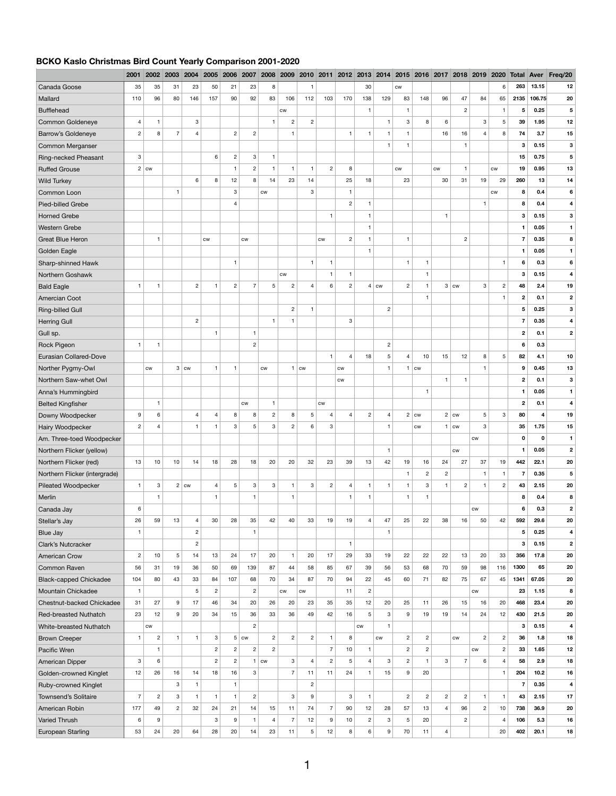## **BCKO Kaslo Christmas Bird Count Yearly Comparison 2001-2020**

|                                | 2001           | 2002           | 2003                    | 2004           | 2005           | 2006           | 2007               | 2008           | 2009                    | 2010                    | 2011           | 2012             |                | 2013 2014      | 2015           | 2016 2017          |                | 2018               | 2019                    | 2020           |                         |             | <b>Total Aver Freg/20</b> |
|--------------------------------|----------------|----------------|-------------------------|----------------|----------------|----------------|--------------------|----------------|-------------------------|-------------------------|----------------|------------------|----------------|----------------|----------------|--------------------|----------------|--------------------|-------------------------|----------------|-------------------------|-------------|---------------------------|
| Canada Goose                   | 35             | 35             | 31                      | 23             | 50             | 21             | 23                 | 8              |                         |                         |                |                  | 30             |                | CW             |                    |                |                    |                         | 6              | 263                     | 13.15       | 12                        |
| Mallard                        | 110            | 96             | 80                      | 146            | 157            | 90             | 92                 | 83             | 106                     | 112                     | 103            | 170              | 138            | 129            | 83             | 148                | 96             | 47                 | 84                      | 65             | 2135                    | 106.75      | 20                        |
| <b>Bufflehead</b>              |                |                |                         |                |                |                |                    |                | CW                      |                         |                |                  | $\mathbf 1$    |                | $\mathbf{1}$   |                    |                | $\overline{2}$     |                         | $\mathbf{1}$   | 5                       | 0.25        | $\overline{\mathbf{5}}$   |
| <b>Common Goldeneye</b>        | $\overline{4}$ | 1              |                         | 3              |                |                |                    |                | $\overline{2}$          | $\overline{c}$          |                |                  |                |                | 3              | 8                  | 6              |                    | 3                       | 5              | 39                      | 1.95        | 12                        |
| <b>Barrow's Goldeneye</b>      | $\overline{2}$ | 8              | 7                       |                |                | $\sqrt{2}$     | $\mathbf{2}$       |                | 1                       |                         |                | $\overline{1}$   |                | $\mathbf{1}$   |                |                    | 16             | 16                 | 4                       | 8              | 74                      | 3.7         | 15                        |
| Common Merganser               |                |                |                         |                |                |                |                    |                |                         |                         |                |                  |                | 1              |                |                    |                |                    |                         |                | 3                       | 0.15        | $\mathbf{3}$              |
| Ring-necked Pheasant           | $\mathbf{3}$   |                |                         |                | 6              | $\overline{c}$ | 3                  |                |                         |                         |                |                  |                |                |                |                    |                |                    |                         |                | 15                      | 0.75        | 5                         |
| <b>Ruffed Grouse</b>           |                | $2$ cw         |                         |                |                | $\mathbf{1}$   | $\mathbf{2}$       | -1             | $\overline{\mathbf{1}}$ |                         | $\mathbf{2}$   | 8                |                |                | $\mathsf{cw}$  |                    | <b>CW</b>      | $\mathbf 1$        |                         | <b>CW</b>      | 19                      | 0.95        | 13                        |
| <b>Wild Turkey</b>             |                |                |                         | 6              | 8              | 12             | 8                  | 14             | 23                      | 14                      |                | 25               | 18             |                | 23             |                    | 30             | 31                 | 19                      | 29             | 260                     | 13          | 14                        |
| Common Loon                    |                |                |                         |                |                | 3              |                    | <b>CW</b>      |                         | 3                       |                | $\mathbf 1$      |                |                |                |                    |                |                    |                         | CW             | 8                       | 0.4         | 6                         |
| Pied-billed Grebe              |                |                |                         |                |                | $\overline{4}$ |                    |                |                         |                         |                | $\overline{c}$   |                |                |                |                    |                |                    | $\overline{\mathbf{1}}$ |                | 8                       | 0.4         |                           |
| <b>Horned Grebe</b>            |                |                |                         |                |                |                |                    |                |                         |                         |                |                  |                |                |                |                    |                |                    |                         |                | 3                       | 0.15        | 3                         |
| <b>Western Grebe</b>           |                |                |                         |                |                |                |                    |                |                         |                         |                |                  |                |                |                |                    |                |                    |                         |                |                         | 0.05        |                           |
| <b>Great Blue Heron</b>        |                | $\mathbf 1$    |                         |                | $\mathsf{cw}$  |                | CW                 |                |                         |                         | <b>CW</b>      | $\overline{c}$   |                |                | $\mathbf 1$    |                    |                | $\overline{2}$     |                         |                | $\overline{7}$          | 0.35        | 8                         |
| Golden Eagle                   |                |                |                         |                |                |                |                    |                |                         |                         |                |                  |                |                |                |                    |                |                    |                         |                | -1                      | 0.05        |                           |
| Sharp-shinned Hawk             |                |                |                         |                |                | -1             |                    |                |                         |                         |                |                  |                |                | $\mathbf{1}$   |                    |                |                    |                         | -1             | 6                       | 0.3         | 6                         |
| Northern Goshawk               |                |                |                         |                |                |                |                    |                | ${\sf\small CW}$        |                         | -1             | $\overline{1}$   |                |                |                | $\mathbf 1$        |                |                    |                         |                | 3                       | 0.15        |                           |
| <b>Bald Eagle</b>              | $\mathbf{1}$   | $\mathbf{1}$   |                         | $\overline{2}$ | $\mathbf 1$    | $\overline{c}$ | 7                  | 5              | $\overline{c}$          | $\Delta$                | 6              | $\overline{2}$   |                | $4 \mid$ cw    | $\overline{2}$ | $\mathbf 1$        | 3              | $\mathsf{cw}$      | 3                       | $\overline{2}$ | 48                      | 2.4         | 19                        |
| Amercian Coot                  |                |                |                         |                |                |                |                    |                |                         |                         |                |                  |                |                |                |                    |                |                    |                         |                | $\mathbf{2}$            | 0.1         | $\mathbf 2$               |
| <b>Ring-billed Gull</b>        |                |                |                         |                |                |                |                    |                | $\overline{c}$          | $\overline{\mathbf{1}}$ |                |                  |                | $\overline{c}$ |                |                    |                |                    |                         |                | 5                       | 0.25        | 3                         |
| <b>Herring Gull</b>            |                |                |                         | $\overline{2}$ |                |                |                    | $\mathbf{1}$   | $\mathbf{1}$            |                         |                | $\mathbf{3}$     |                |                |                |                    |                |                    |                         |                | $\overline{7}$          | 0.35        | 4                         |
| Gull sp.                       |                |                |                         |                |                |                |                    |                |                         |                         |                |                  |                |                |                |                    |                |                    |                         |                | $\mathbf{2}$            | 0.1         | $\mathbf{2}$              |
| Rock Pigeon                    | $\mathbf{1}$   | $\mathbf{1}$   |                         |                |                |                | $\mathbf{2}$       |                |                         |                         |                |                  |                | $\mathbf{2}$   |                |                    |                |                    |                         |                | 6                       | 0.3         |                           |
| <b>Eurasian Collared-Dove</b>  |                |                |                         |                |                |                |                    |                |                         |                         |                | $\overline{4}$   | 18             | 5              | $\overline{4}$ | 10                 | 15             | 12                 | 8                       | 5              | 82                      | 4.1         | 10                        |
| Norther Pygmy-Owl              |                | CW             |                         | $3 \mid c w$   | $\mathbf 1$    | $\mathbf 1$    |                    | cw             | $\mathbf 1$             | CW                      |                | CW               |                | $\mathbf{1}$   |                | <b>CW</b>          |                |                    | 1                       |                | $\boldsymbol{9}$        | 0.45        | 13                        |
| Northern Saw-whet Owl          |                |                |                         |                |                |                |                    |                |                         |                         |                | ${\sf\small CW}$ |                |                |                |                    | $\overline{1}$ |                    |                         |                | $\mathbf{2}$            | 0.1         | $\mathbf 3$               |
| Anna's Hummingbird             |                |                |                         |                |                |                |                    |                |                         |                         |                |                  |                |                |                | $\mathbf 1$        |                |                    |                         |                | $\blacktriangleleft$    | 0.05        | $\mathbf{1}$              |
| <b>Belted Kingfisher</b>       |                | $\mathbf 1$    |                         |                |                |                | ${\sf\small CW}$   | $\mathbf{1}$   |                         |                         | cw             |                  |                |                |                |                    |                |                    |                         |                | $\mathbf{2}$            | 0.1         | 4                         |
| Downy Woodpecker               | 9              | 6              |                         | $\overline{4}$ | 4              | 8              | 8                  | $\overline{2}$ | 8                       | 5                       |                | $\overline{4}$   | $\mathbf{2}$   | $\overline{4}$ |                | $2 \mid \text{cw}$ |                | $2 \mid \text{cw}$ | $5\phantom{.0}$         | 3              | 80                      | 4           | 19                        |
| Hairy Woodpecker               | $\overline{2}$ | $\overline{4}$ |                         | $\mathbf{1}$   | $\mathbf 1$    | $\mathbf{3}$   | 5                  | 3              | $\overline{2}$          | 6                       | 3              |                  |                | -1             |                | CW                 | 1              | ${\sf\small CW}$   | 3                       |                | 35                      | 1.75        | 15                        |
| Am. Three-toed Woodpecker      |                |                |                         |                |                |                |                    |                |                         |                         |                |                  |                |                |                |                    |                |                    | CW                      |                | $\mathbf 0$             | $\mathbf 0$ | $\blacktriangleleft$      |
| Northern Flicker (yellow)      |                |                |                         |                |                |                |                    |                |                         |                         |                |                  |                | $\mathbf 1$    |                |                    |                | CW                 |                         |                |                         | 0.05        | $\mathbf{2}$              |
| Northern Flicker (red)         | 13             | 10             | 10                      | 14             | 18             | 28             | 18                 | 20             | 20                      | 32                      | 23             | 39               | 13             | 42             | 19             | 16                 | 24             | 27                 | 37                      | 19             | 442                     | 22.1        | 20                        |
| Northern Flicker (intergrade)  |                |                |                         |                |                |                |                    |                |                         |                         |                |                  |                |                |                | $\mathbf{2}$       | $\overline{2}$ |                    | 1                       |                |                         | 0.35        | 5                         |
| <b>Pileated Woodpecker</b>     | $\mathbf{1}$   | 3              |                         | $2$ cw         | $\overline{4}$ | 5              | 3                  | $\mathbf{3}$   | $\mathbf{1}$            | 3                       | $\overline{2}$ | $\overline{4}$   | $\mathbf{1}$   | $\mathbf{1}$   | $\overline{1}$ | 3                  |                | $\overline{2}$     | $\mathbf{1}$            | $\overline{c}$ | 43                      | 2.15        | 20                        |
| Merlin                         |                | $\mathbf{1}$   |                         |                | $\mathbf{1}$   |                | $\mathbf{1}$       |                | $\mathbf{1}$            |                         |                | $\overline{1}$   | $\mathbf 1$    |                | $\mathbf{1}$   | $\mathbf{1}$       |                |                    |                         |                | 8                       | 0.4         | 8                         |
| Canada Jay                     | 6              |                |                         |                |                |                |                    |                |                         |                         |                |                  |                |                |                |                    |                |                    | ${\sf\small CW}$        |                | 6                       | 0.3         | $\mathbf{2}$              |
| Stellar's Jay                  | 26             | 59             | 13                      | $\overline{4}$ | 30             | 28             | 35                 | 42             | 40                      | 33                      | 19             | 19               | $\overline{4}$ | 47             | 25             | 22                 | 38             | 16                 | 50                      | 42             | 592                     | 29.6        | 20                        |
| <b>Blue Jay</b>                | $\mathbf{1}$   |                |                         | $\overline{2}$ |                |                | $\mathbf{1}$       |                |                         |                         |                |                  |                | -1             |                |                    |                |                    |                         |                | $\overline{\mathbf{5}}$ | 0.25        | 4                         |
| Clark's Nutcracker             |                |                |                         | $\overline{c}$ |                |                |                    |                |                         |                         |                | $\overline{1}$   |                |                |                |                    |                |                    |                         |                | 3                       | 0.15        | $\mathbf{2}$              |
| <b>American Crow</b>           | $\overline{2}$ | 10             | $5\phantom{.0}$         | 14             | 13             | 24             | 17                 | 20             | $\mathbf{1}$            | 20                      | 17             | 29               | 33             | 19             | 22             | 22                 | 22             | 13                 | 20                      | 33             | 356                     | 17.8        | 20                        |
| <b>Common Raven</b>            | 56             | 31             | 19                      | 36             | 50             | 69             | 139                | 87             | 44                      | 58                      | 85             | 67               | 39             | 56             | 53             | 68                 | 70             | 59                 | 98                      | 116            | 1300                    | 65          | 20                        |
| <b>Black-capped Chickadee</b>  | 104            | 80             | 43                      | 33             | 84             | 107            | 68                 | 70             | 34                      | 87                      | 70             | 94               | 22             | 45             | 60             | 71                 | 82             | 75                 | 67                      | 45             | 1341                    | 67.05       | 20                        |
| <b>Mountain Chickadee</b>      | $\mathbf{1}$   |                |                         | 5              | $\overline{c}$ |                | $\mathbf{2}$       |                | ${\sf\small CW}$        | ${\sf\small CW}$        |                | 11               | $\sqrt{2}$     |                |                |                    |                |                    | ${\sf\small CW}$        |                | 23                      | 1.15        | 8                         |
| Chestnut-backed Chickadee      | 31             | 27             | 9                       | 17             | 46             | 34             | 20                 | 26             | 20                      | 23                      | 35             | 35               | 12             | 20             | 25             | 11                 | 26             | 15                 | 16                      | 20             | 468                     | 23.4        | 20                        |
| <b>Red-breasted Nuthatch</b>   | 23             | 12             | 9                       | 20             | 34             | 15             | 36                 | 33             | 36                      | 49                      | 42             | 16               | $\overline{5}$ | 3              | 9              | 19                 | 19             | 14                 | 24                      | 12             | 430                     | 21.5        | 20                        |
| <b>White-breasted Nuthatch</b> |                | <b>CW</b>      |                         |                |                |                | $\overline{2}$     |                |                         |                         |                |                  | <b>CW</b>      | $\mathbf{1}$   |                |                    |                |                    |                         |                | $\mathbf 3$             | 0.15        | 4                         |
| <b>Brown Creeper</b>           | $\mathbf{1}$   | $\overline{c}$ | $\overline{\mathbf{1}}$ | $\mathbf 1$    | $\mathbf{3}$   |                | $5 \mid \text{cw}$ | $\overline{2}$ | $\overline{2}$          | $\overline{2}$          | $\mathbf{1}$   | 8                |                | CW             | $\overline{2}$ | $\overline{2}$     |                | ${\sf\small CW}$   | $\overline{c}$          | $\overline{2}$ | 36                      | 1.8         | 18                        |
| Pacific Wren                   |                | $\mathbf{1}$   |                         |                | $\overline{c}$ | $\overline{2}$ | $\mathbf{2}$       | $\overline{2}$ |                         |                         | $\overline{7}$ | 10               |                |                | $\overline{2}$ | $\mathbf{2}$       |                |                    | CW                      | $\overline{2}$ | 33                      | 1.65        | 12                        |
| American Dipper                | $\mathbf{3}$   | 6              |                         |                | $\overline{c}$ | $\mathbf{2}$   |                    | $ $ CW         | $\mathbf{3}$            | $\overline{4}$          | $\mathbf{2}$   | 5                | $\overline{4}$ | 3              | $\overline{2}$ | $\mathbf 1$        | 3              | $\overline{7}$     | 6                       | $\overline{4}$ | 58                      | 2.9         | 18                        |
| Golden-crowned Kinglet         | 12             | 26             | 16                      | 14             | 18             | 16             | 3                  |                | $\overline{7}$          | 11                      | 11             | 24               | $\mathbf{1}$   | 15             | 9              | 20                 |                |                    |                         | $\mathbf{1}$   | 204                     | $10.2$      | 16                        |
| <b>Ruby-crowned Kinglet</b>    |                |                | $\mathbf{3}$            |                |                | $\mathbf{1}$   |                    |                |                         | $\overline{2}$          |                |                  |                |                |                |                    |                |                    |                         |                | $\overline{7}$          | 0.35        | 4                         |
| <b>Townsend's Solitaire</b>    | $\overline{7}$ | $\mathbf{2}$   | $\mathbf{3}$            | $\mathbf{1}$   | $\mathbf{1}$   | $\mathbf{1}$   | $\overline{2}$     |                | $\mathbf{3}$            | 9                       |                | $\mathbf{3}$     | $\mathbf{1}$   |                | $\overline{2}$ | $\overline{2}$     | $\overline{2}$ | $\overline{2}$     | $\mathbf{1}$            | $\overline{1}$ | 43                      | 2.15        | 17                        |
| American Robin                 | 177            | 49             | $\overline{2}$          | 32             | 24             | 21             | 14                 | 15             | 11                      | 74                      | $\overline{7}$ | 90               | 12             | 28             | 57             | 13                 | $\overline{4}$ | 96                 | $\overline{2}$          | 10             | 738                     | 36.9        | 20                        |
| <b>Varied Thrush</b>           | 6              | 9              |                         |                | 3              | 9              | 1                  | 4              | $\overline{7}$          | 12                      | 9              | 10               | $\overline{c}$ | 3              | 5              | 20                 |                | $\overline{2}$     |                         | $\overline{4}$ | 106                     | 5.3         | 16                        |
| <b>European Starling</b>       | 53             | 24             | 20                      | 64             | 28             | 20             | 14                 | 23             | 11                      | $5\phantom{.0}$         | 12             | 8                | 6              | 9              | 70             | 11                 | $\overline{4}$ |                    |                         | 20             | 402                     | 20.1        | 18                        |